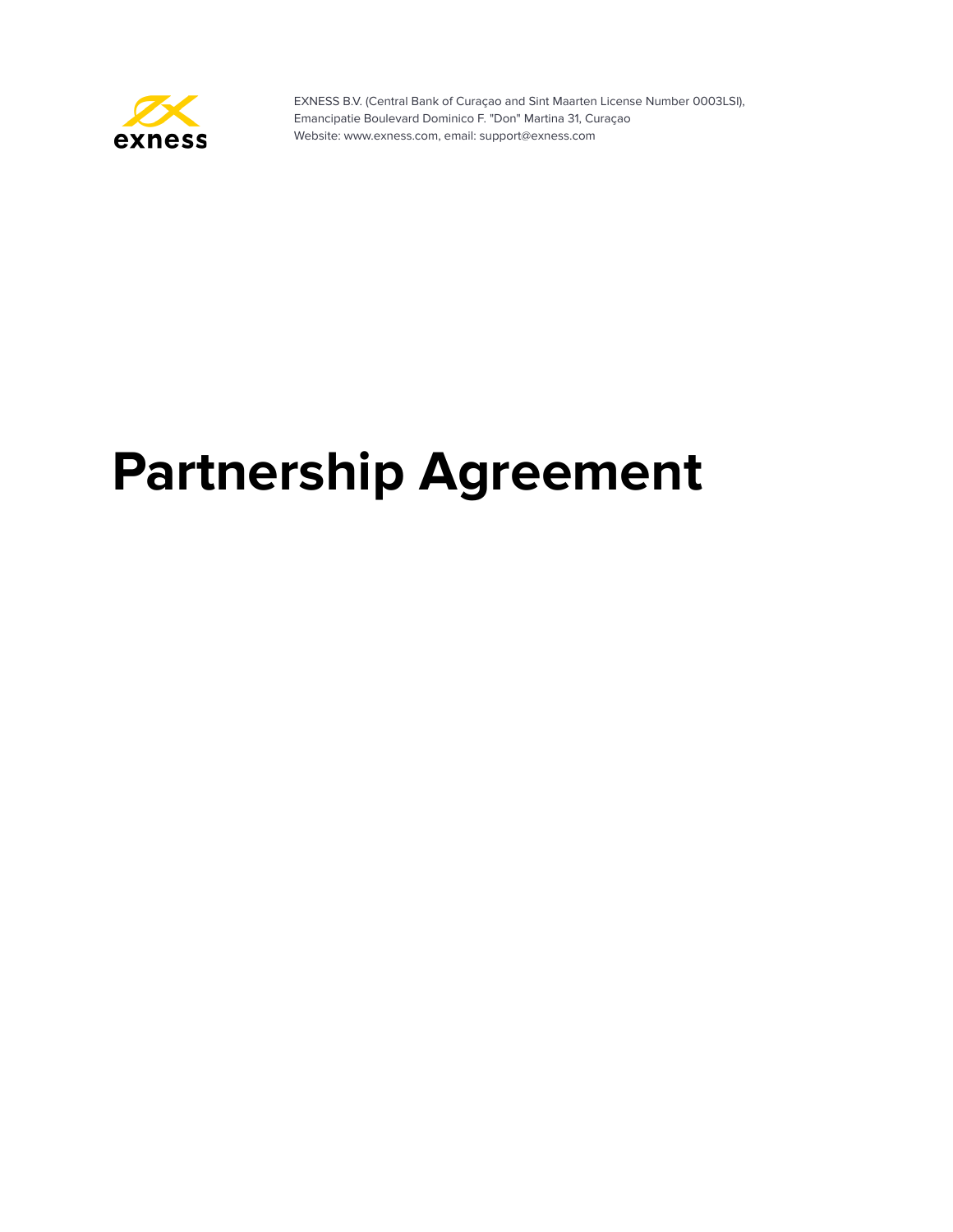

# **Partnership Agreement**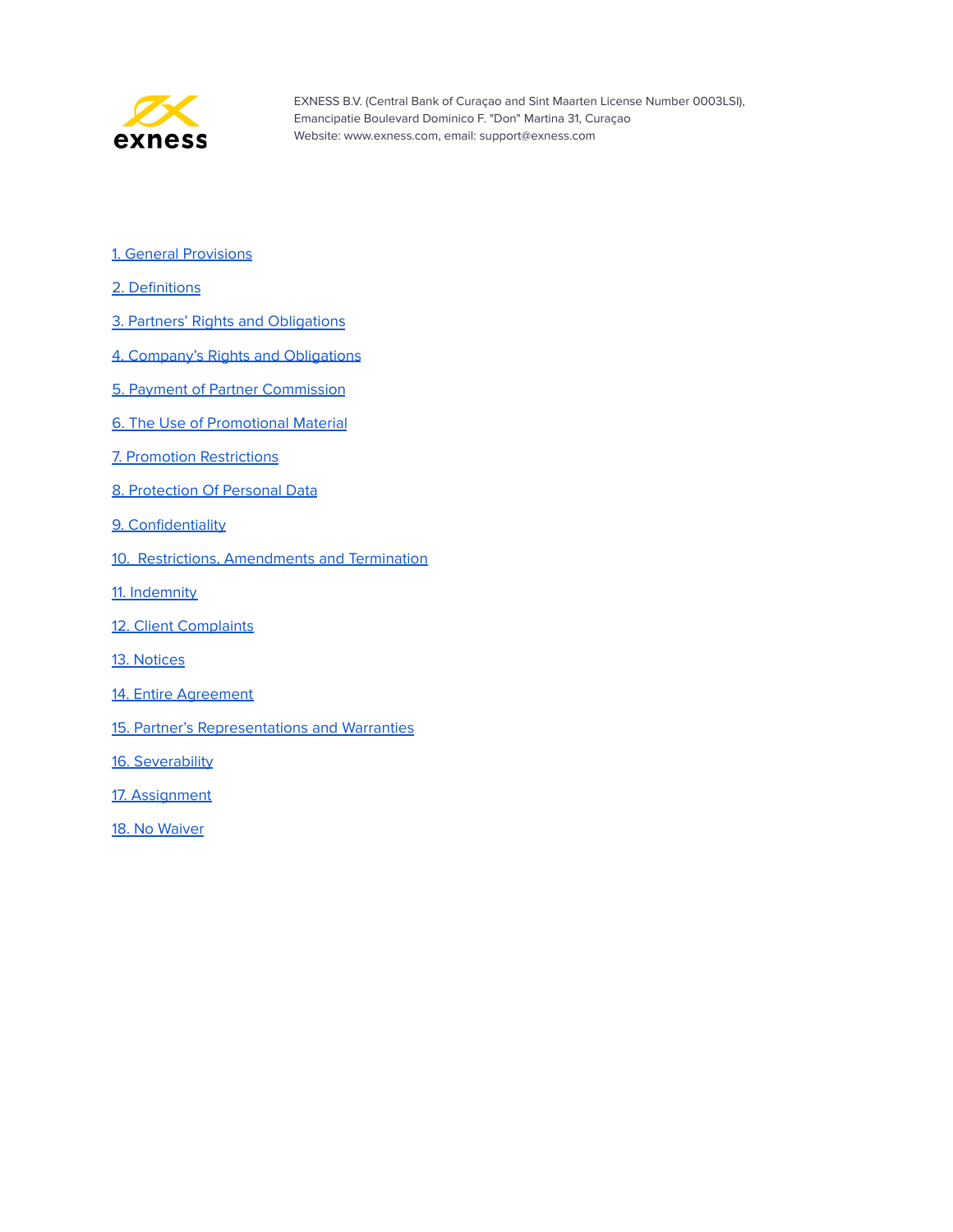

- 1. General [Provisions](#page-2-0)
- 2. [Definitions](#page-2-1)
- 3. Partners' Rights and [Obligations](#page-3-0)
- 4. Company's Rights and [Obligations](#page-5-0)
- 5. Payment of Partner [Commission](#page-6-0)
- 6. The Use of [Promotional](#page-8-0) Material
- 7. Promotion [Restrictions](#page-8-1)
- 8. [Protection](#page-10-0) Of Personal Data
- 9. [Confidentiality](#page-11-0)
- 10. Restrictions, [Amendments](#page-11-1) and Termination
- 11. [Indemnity](#page-12-0)
- 12. Client [Complaints](#page-12-1)
- 13. [Notices](#page-13-0)
- 14. Entire [Agreement](#page-13-1)
- 15. Partner's [Representations](#page-13-2) and Warranties
- 16. [Severability](#page-14-0)
- 17. [Assignment](#page-14-1)
- 18. No [Waiver](#page-14-2)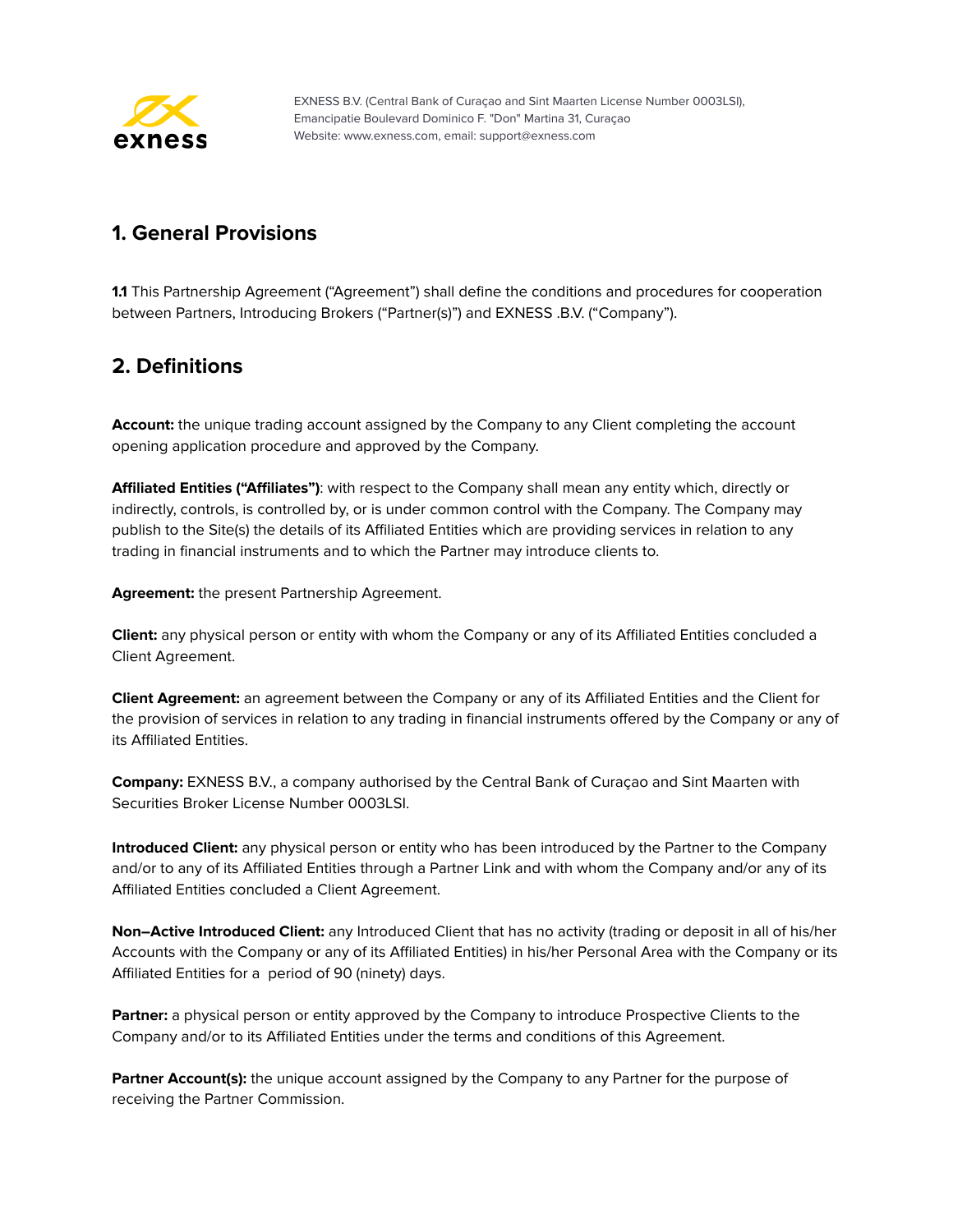

# <span id="page-2-0"></span>**1. General Provisions**

**1.1** This Partnership Agreement ("Agreement") shall define the conditions and procedures for cooperation between Partners, Introducing Brokers ("Partner(s)") and EXNESS .B.V. ("Company").

# <span id="page-2-1"></span>**2. Definitions**

**Account:** the unique trading account assigned by the Company to any Client completing the account opening application procedure and approved by the Company.

**Affiliated Entities ("Affiliates")**: with respect to the Company shall mean any entity which, directly or indirectly, controls, is controlled by, or is under common control with the Company. The Company may publish to the Site(s) the details of its Affiliated Entities which are providing services in relation to any trading in financial instruments and to which the Partner may introduce clients to.

**Agreement:** the present Partnership Agreement.

**Client:** any physical person or entity with whom the Company or any of its Affiliated Entities concluded a Client Agreement.

**Client Agreement:** an agreement between the Company or any of its Affiliated Entities and the Client for the provision of services in relation to any trading in financial instruments offered by the Company or any of its Affiliated Entities.

**Company:** EXNESS B.V., a company authorised by the Central Bank of Curaçao and Sint Maarten with Securities Broker License Number 0003LSI.

**Introduced Client:** any physical person or entity who has been introduced by the Partner to the Company and/or to any of its Affiliated Entities through a Partner Link and with whom the Company and/or any of its Affiliated Entities concluded a Client Agreement.

**Non–Active Introduced Client:** any Introduced Client that has no activity (trading or deposit in all of his/her Accounts with the Company or any of its Affiliated Entities) in his/her Personal Area with the Company or its Affiliated Entities for a period of 90 (ninety) days.

**Partner:** a physical person or entity approved by the Company to introduce Prospective Clients to the Company and/or to its Affiliated Entities under the terms and conditions of this Agreement.

**Partner Account(s):** the unique account assigned by the Company to any Partner for the purpose of receiving the Partner Commission.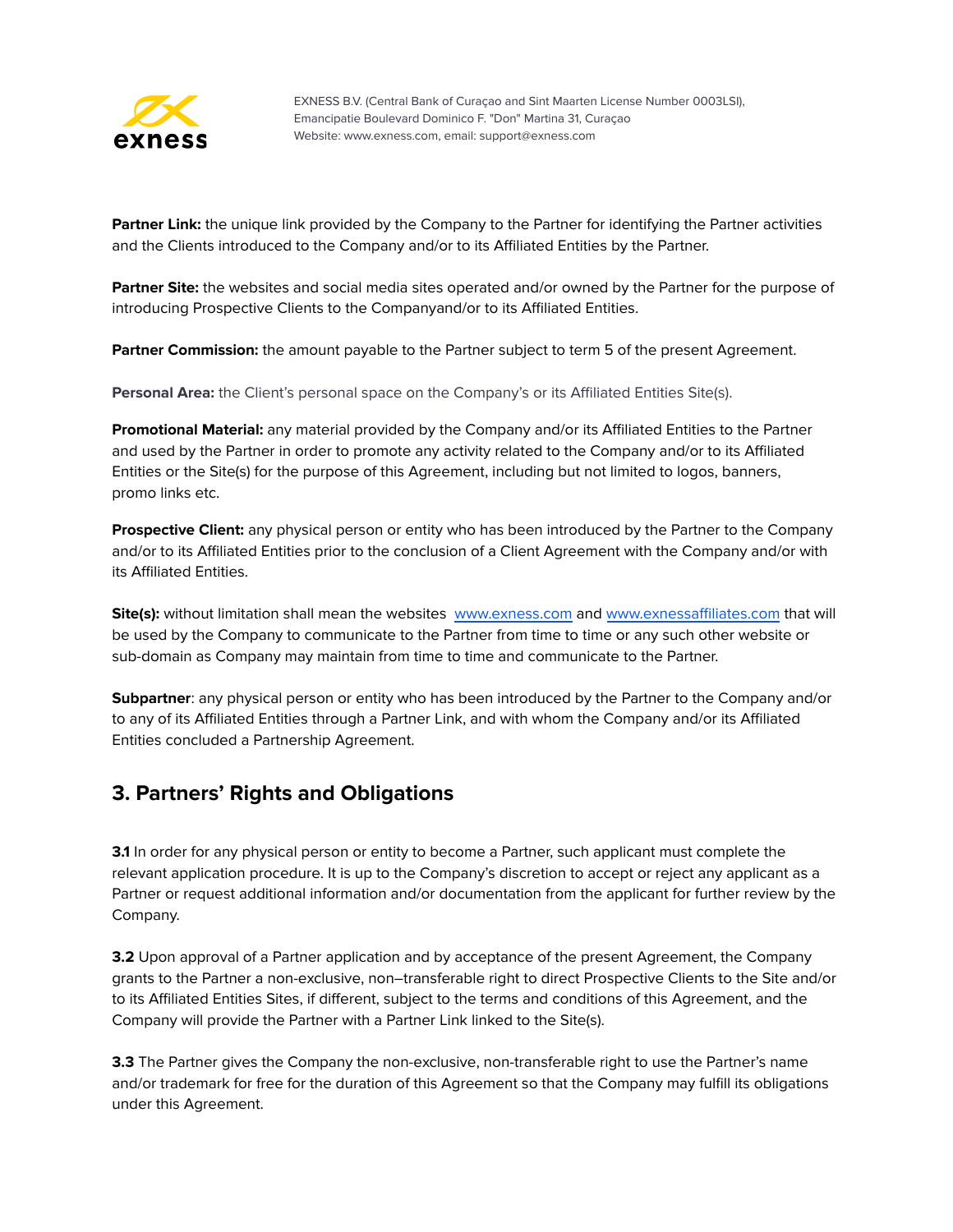

**Partner Link:** the unique link provided by the Company to the Partner for identifying the Partner activities and the Clients introduced to the Company and/or to its Affiliated Entities by the Partner.

**Partner Site:** the websites and social media sites operated and/or owned by the Partner for the purpose of introducing Prospective Clients to the Companyand/or to its Affiliated Entities.

**Partner Commission:** the amount payable to the Partner subject to term 5 of the present Agreement.

**Personal Area:** the Client's personal space on the Company's or its Affiliated Entities Site(s).

**Promotional Material:** any material provided by the Company and/or its Affiliated Entities to the Partner and used by the Partner in order to promote any activity related to the Company and/or to its Affiliated Entities or the Site(s) for the purpose of this Agreement, including but not limited to logos, banners, promo links etc.

**Prospective Client:** any physical person or entity who has been introduced by the Partner to the Company and/or to its Affiliated Entities prior to the conclusion of a Client Agreement with the Company and/or with its Affiliated Entities.

**Site(s):** without limitation shall mean the websites [www.exness.com](http://www.exness.com) and [www.exnessaffiliates.com](http://www.exnessaffiliates.com) that will be used by the Company to communicate to the Partner from time to time or any such other website or sub-domain as Company may maintain from time to time and communicate to the Partner.

**Subpartner**: any physical person or entity who has been introduced by the Partner to the Company and/or to any of its Affiliated Entities through a Partner Link, and with whom the Company and/or its Affiliated Entities concluded a Partnership Agreement.

#### <span id="page-3-0"></span>**3. Partners' Rights and Obligations**

**3.1** In order for any physical person or entity to become a Partner, such applicant must complete the relevant application procedure. It is up to the Company's discretion to accept or reject any applicant as a Partner or request additional information and/or documentation from the applicant for further review by the Company.

**3.2** Upon approval of a Partner application and by acceptance of the present Agreement, the Company grants to the Partner a non-exclusive, non–transferable right to direct Prospective Clients to the Site and/or to its Affiliated Entities Sites, if different, subject to the terms and conditions of this Agreement, and the Company will provide the Partner with a Partner Link linked to the Site(s).

**3.3** The Partner gives the Company the non-exclusive, non-transferable right to use the Partner's name and/or trademark for free for the duration of this Agreement so that the Company may fulfill its obligations under this Agreement.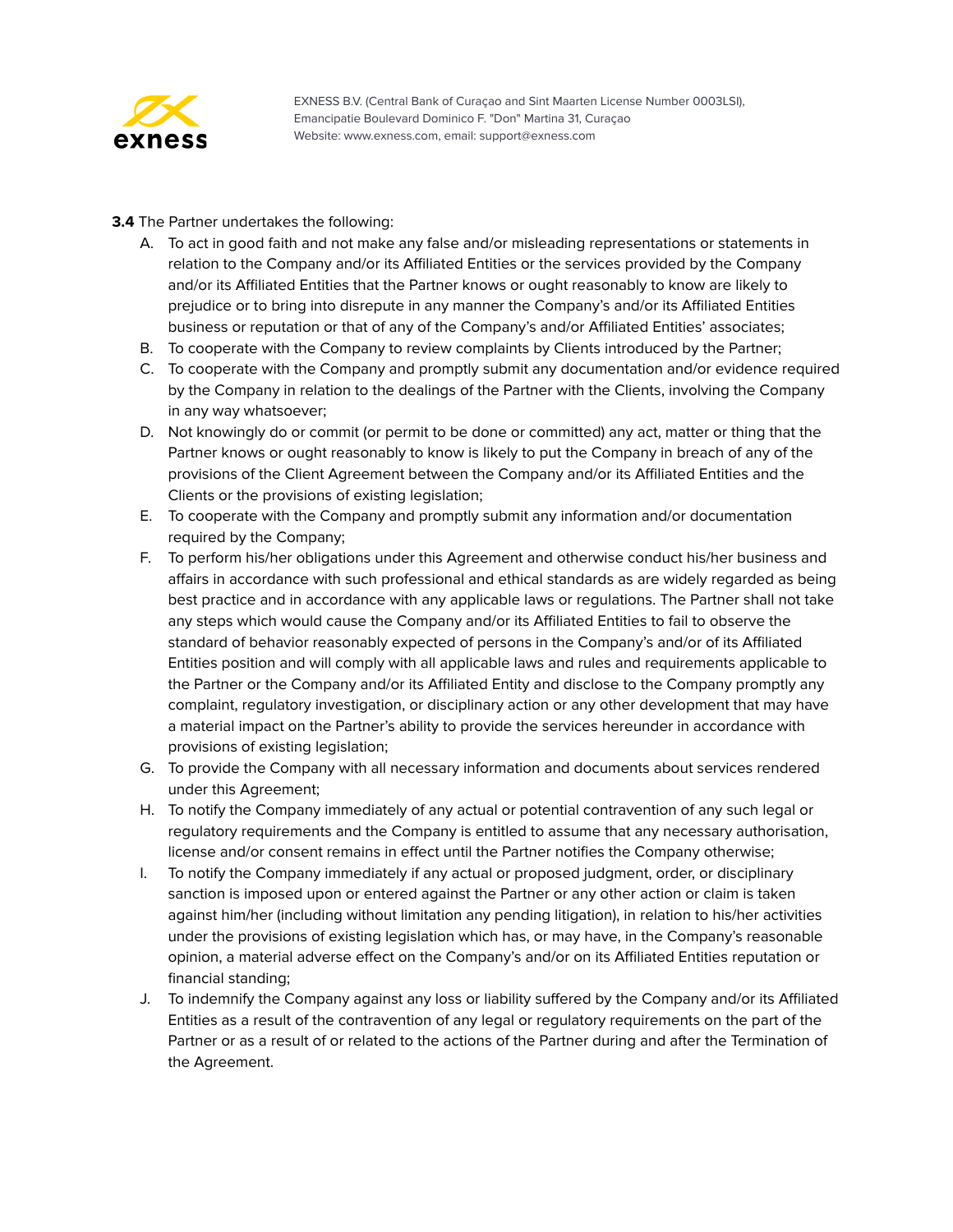

**3.4** The Partner undertakes the following:

- A. To act in good faith and not make any false and/or misleading representations or statements in relation to the Company and/or its Affiliated Entities or the services provided by the Company and/or its Affiliated Entities that the Partner knows or ought reasonably to know are likely to prejudice or to bring into disrepute in any manner the Company's and/or its Affiliated Entities business or reputation or that of any of the Company's and/or Affiliated Entities' associates;
- B. To cooperate with the Company to review complaints by Clients introduced by the Partner;
- C. To cooperate with the Company and promptly submit any documentation and/or evidence required by the Company in relation to the dealings of the Partner with the Clients, involving the Company in any way whatsoever;
- D. Not knowingly do or commit (or permit to be done or committed) any act, matter or thing that the Partner knows or ought reasonably to know is likely to put the Company in breach of any of the provisions of the Client Agreement between the Company and/or its Affiliated Entities and the Clients or the provisions of existing legislation;
- E. To cooperate with the Company and promptly submit any information and/or documentation required by the Company;
- F. To perform his/her obligations under this Agreement and otherwise conduct his/her business and affairs in accordance with such professional and ethical standards as are widely regarded as being best practice and in accordance with any applicable laws or regulations. The Partner shall not take any steps which would cause the Company and/or its Affiliated Entities to fail to observe the standard of behavior reasonably expected of persons in the Company's and/or of its Affiliated Entities position and will comply with all applicable laws and rules and requirements applicable to the Partner or the Company and/or its Affiliated Entity and disclose to the Company promptly any complaint, regulatory investigation, or disciplinary action or any other development that may have a material impact on the Partner's ability to provide the services hereunder in accordance with provisions of existing legislation;
- G. To provide the Company with all necessary information and documents about services rendered under this Agreement;
- H. To notify the Company immediately of any actual or potential contravention of any such legal or regulatory requirements and the Company is entitled to assume that any necessary authorisation, license and/or consent remains in effect until the Partner notifies the Company otherwise;
- I. To notify the Company immediately if any actual or proposed judgment, order, or disciplinary sanction is imposed upon or entered against the Partner or any other action or claim is taken against him/her (including without limitation any pending litigation), in relation to his/her activities under the provisions of existing legislation which has, or may have, in the Company's reasonable opinion, a material adverse effect on the Company's and/or on its Affiliated Entities reputation or financial standing;
- J. To indemnify the Company against any loss or liability suffered by the Company and/or its Affiliated Entities as a result of the contravention of any legal or regulatory requirements on the part of the Partner or as a result of or related to the actions of the Partner during and after the Termination of the Agreement.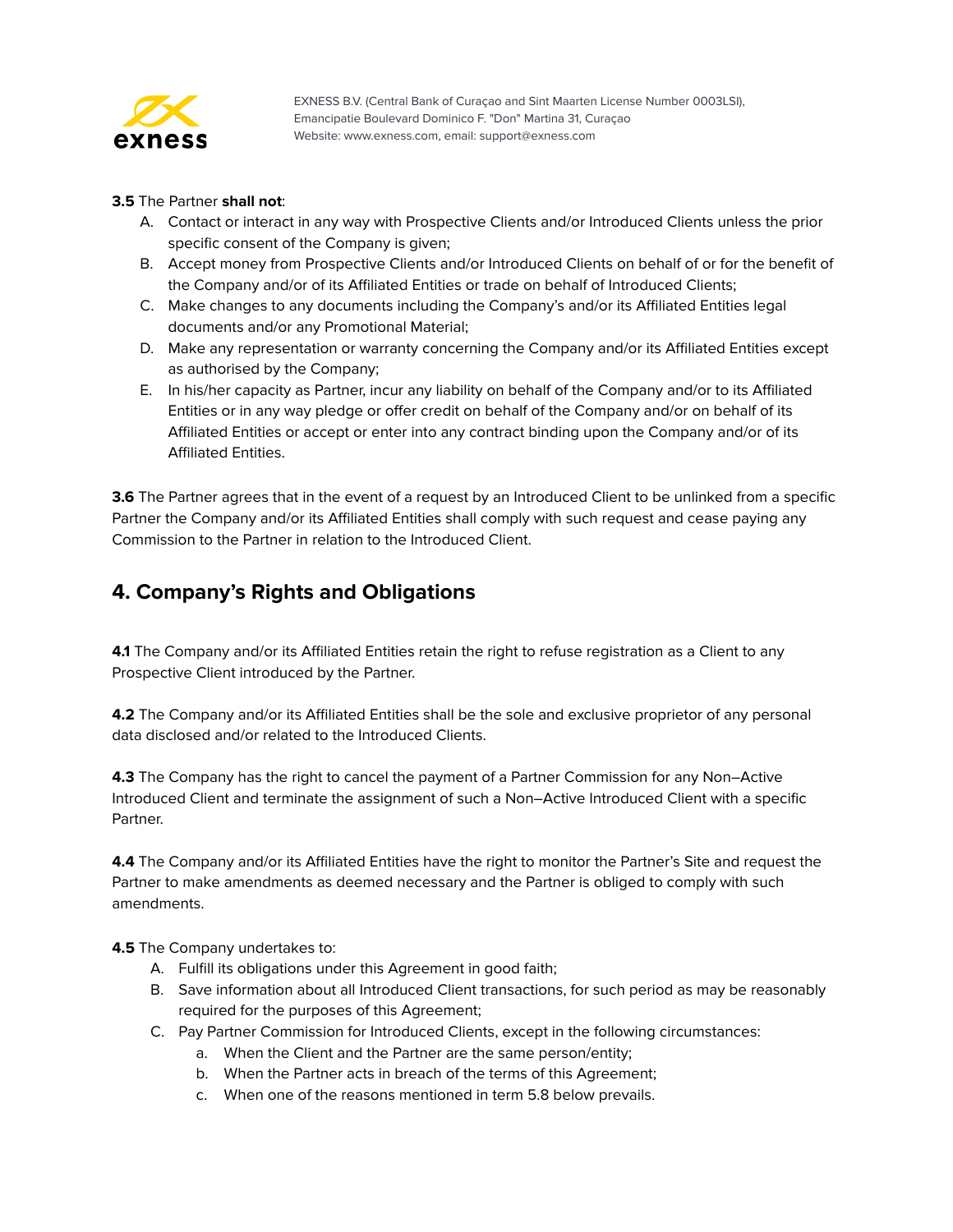

#### **3.5** The Partner **shall not**:

- A. Contact or interact in any way with Prospective Clients and/or Introduced Clients unless the prior specific consent of the Company is given;
- B. Accept money from Prospective Clients and/or Introduced Clients on behalf of or for the benefit of the Company and/or of its Affiliated Entities or trade on behalf of Introduced Clients;
- C. Make changes to any documents including the Company's and/or its Affiliated Entities legal documents and/or any Promotional Material;
- D. Make any representation or warranty concerning the Company and/or its Affiliated Entities except as authorised by the Company;
- E. In his/her capacity as Partner, incur any liability on behalf of the Company and/or to its Affiliated Entities or in any way pledge or offer credit on behalf of the Company and/or on behalf of its Affiliated Entities or accept or enter into any contract binding upon the Company and/or of its Affiliated Entities.

**3.6** The Partner agrees that in the event of a request by an Introduced Client to be unlinked from a specific Partner the Company and/or its Affiliated Entities shall comply with such request and cease paying any Commission to the Partner in relation to the Introduced Client.

# <span id="page-5-0"></span>**4. Company's Rights and Obligations**

**4.1** The Company and/or its Affiliated Entities retain the right to refuse registration as a Client to any Prospective Client introduced by the Partner.

**4.2** The Company and/or its Affiliated Entities shall be the sole and exclusive proprietor of any personal data disclosed and/or related to the Introduced Clients.

**4.3** The Company has the right to cancel the payment of a Partner Commission for any Non–Active Introduced Client and terminate the assignment of such a Non–Active Introduced Client with a specific Partner.

**4.4** The Company and/or its Affiliated Entities have the right to monitor the Partner's Site and request the Partner to make amendments as deemed necessary and the Partner is obliged to comply with such amendments.

**4.5** The Company undertakes to:

- A. Fulfill its obligations under this Agreement in good faith;
- B. Save information about all Introduced Client transactions, for such period as may be reasonably required for the purposes of this Agreement;
- C. Pay Partner Commission for Introduced Clients, except in the following circumstances:
	- a. When the Client and the Partner are the same person/entity;
	- b. When the Partner acts in breach of the terms of this Agreement;
	- c. When one of the reasons mentioned in term 5.8 below prevails.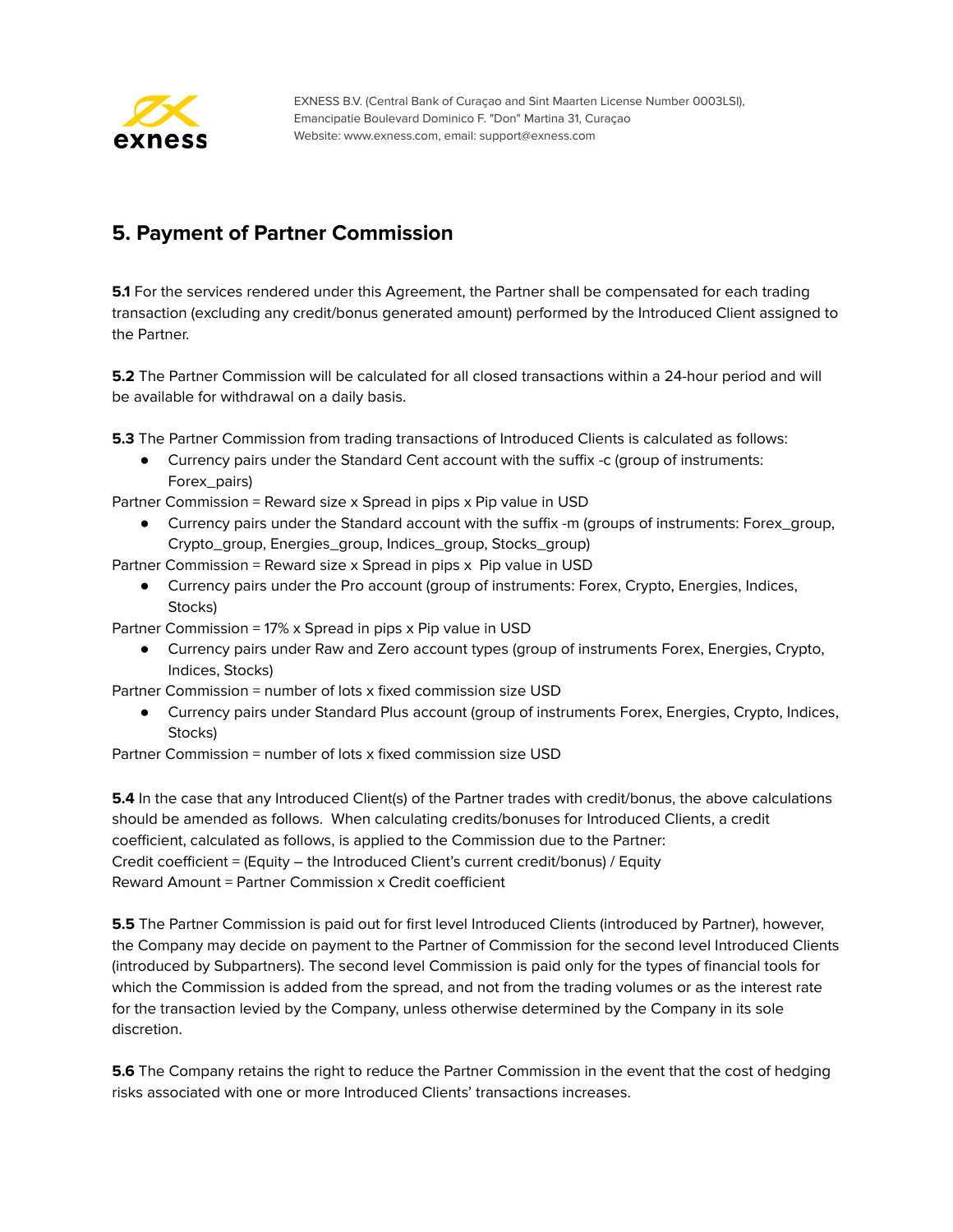

# <span id="page-6-0"></span>**5. Payment of Partner Commission**

**5.1** For the services rendered under this Agreement, the Partner shall be compensated for each trading transaction (excluding any credit/bonus generated amount) performed by the Introduced Client assigned to the Partner.

**5.2** The Partner Commission will be calculated for all closed transactions within a 24-hour period and will be available for withdrawal on a daily basis.

**5.3** The Partner Commission from trading transactions of Introduced Clients is calculated as follows:

● Currency pairs under the Standard Cent account with the suffix -c (group of instruments: Forex\_pairs)

Partner Commission = Reward size x Spread in pips x Pip value in USD

Currency pairs under the Standard account with the suffix -m (groups of instruments: Forex\_group, Crypto\_group, Energies\_group, Indices\_group, Stocks\_group)

Partner Commission = Reward size x Spread in pips x Pip value in USD

● Currency pairs under the Pro account (group of instruments: Forex, Crypto, Energies, Indices, Stocks)

Partner Commission = 17% x Spread in pips x Pip value in USD

● Currency pairs under Raw and Zero account types (group of instruments Forex, Energies, Crypto, Indices, Stocks)

Partner Commission = number of lots x fixed commission size USD

● Currency pairs under Standard Plus account (group of instruments Forex, Energies, Crypto, Indices, Stocks)

Partner Commission = number of lots x fixed commission size USD

**5.4** In the case that any Introduced Client(s) of the Partner trades with credit/bonus, the above calculations should be amended as follows. When calculating credits/bonuses for Introduced Clients, a credit coefficient, calculated as follows, is applied to the Commission due to the Partner: Credit coefficient = (Equity – the Introduced Client's current credit/bonus) / Equity Reward Amount = Partner Commission x Credit coefficient

**5.5** The Partner Commission is paid out for first level Introduced Clients (introduced by Partner), however, the Company may decide on payment to the Partner of Commission for the second level Introduced Clients (introduced by Subpartners). The second level Commission is paid only for the types of financial tools for which the Commission is added from the spread, and not from the trading volumes or as the interest rate for the transaction levied by the Company, unless otherwise determined by the Company in its sole discretion.

**5.6** The Company retains the right to reduce the Partner Commission in the event that the cost of hedging risks associated with one or more Introduced Clients' transactions increases.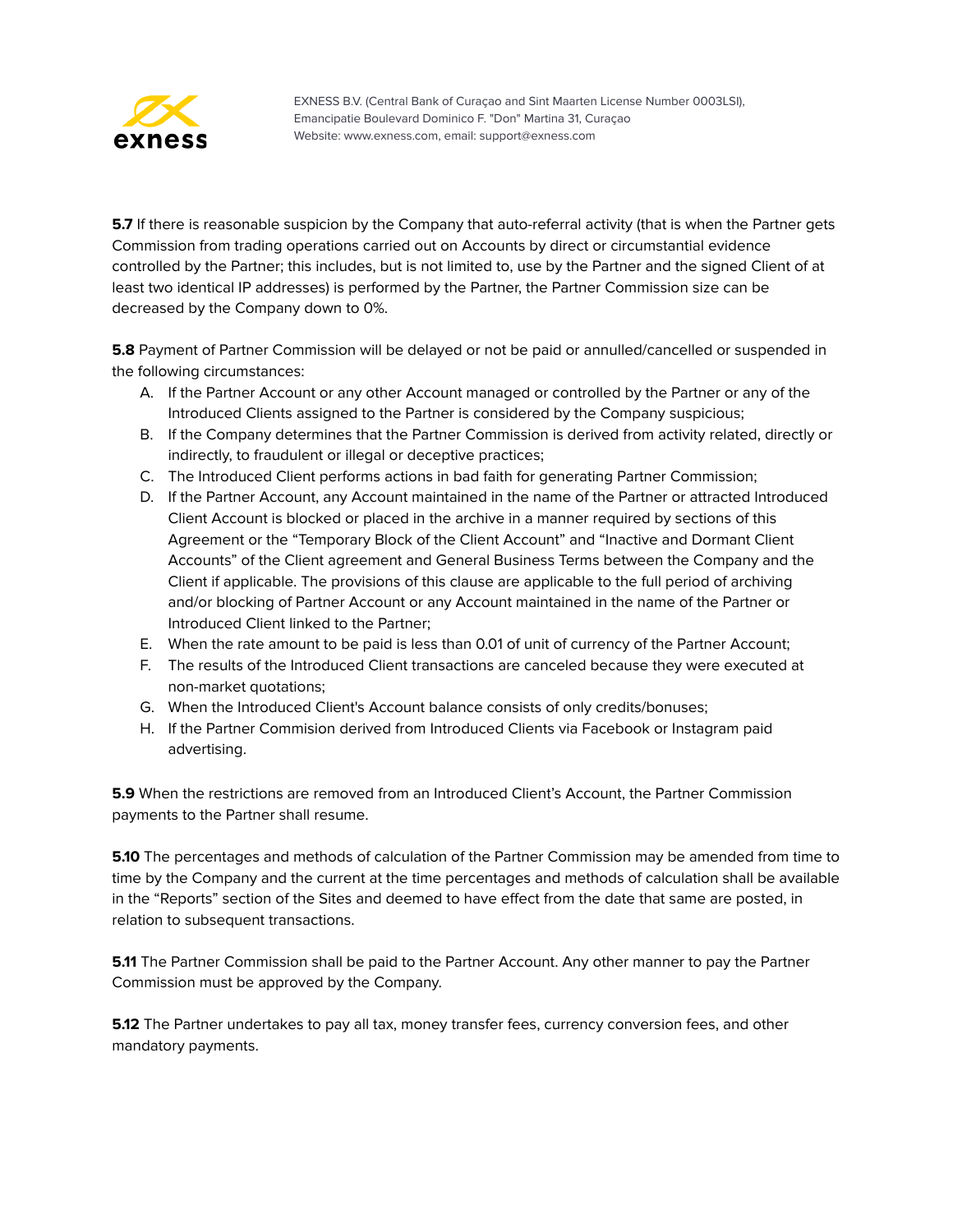

**5.7** If there is reasonable suspicion by the Company that auto-referral activity (that is when the Partner gets Commission from trading operations carried out on Accounts by direct or circumstantial evidence controlled by the Partner; this includes, but is not limited to, use by the Partner and the signed Client of at least two identical IP addresses) is performed by the Partner, the Partner Сommission size can be decreased by the Company down to 0%.

**5.8** Payment of Partner Commission will be delayed or not be paid or annulled/cancelled or suspended in the following circumstances:

- A. If the Partner Account or any other Account managed or controlled by the Partner or any of the Introduced Clients assigned to the Partner is considered by the Company suspicious;
- B. If the Company determines that the Partner Commission is derived from activity related, directly or indirectly, to fraudulent or illegal or deceptive practices;
- C. The Introduced Client performs actions in bad faith for generating Partner Commission;
- D. If the Partner Account, any Account maintained in the name of the Partner or attracted Introduced Client Account is blocked or placed in the archive in a manner required by sections of this Agreement or the "Temporary Block of the Client Account" and "Inactive and Dormant Client Accounts" of the Client agreement and General Business Terms between the Company and the Client if applicable. The provisions of this clause are applicable to the full period of archiving and/or blocking of Partner Account or any Account maintained in the name of the Partner or Introduced Client linked to the Partner;
- E. When the rate amount to be paid is less than 0.01 of unit of currency of the Partner Account;
- F. The results of the Introduced Client transactions are canceled because they were executed at non-market quotations;
- G. When the Introduced Client's Account balance consists of only credits/bonuses;
- H. If the Partner Commision derived from Introduced Clients via Facebook or Instagram paid advertising.

**5.9** When the restrictions are removed from an Introduced Client's Account, the Partner Commission payments to the Partner shall resume.

**5.10** The percentages and methods of calculation of the Partner Commission may be amended from time to time by the Company and the current at the time percentages and methods of calculation shall be available in the "Reports" section of the Sites and deemed to have effect from the date that same are posted, in relation to subsequent transactions.

**5.11** The Partner Commission shall be paid to the Partner Account. Any other manner to pay the Partner Commission must be approved by the Company.

**5.12** The Partner undertakes to pay all tax, money transfer fees, currency conversion fees, and other mandatory payments.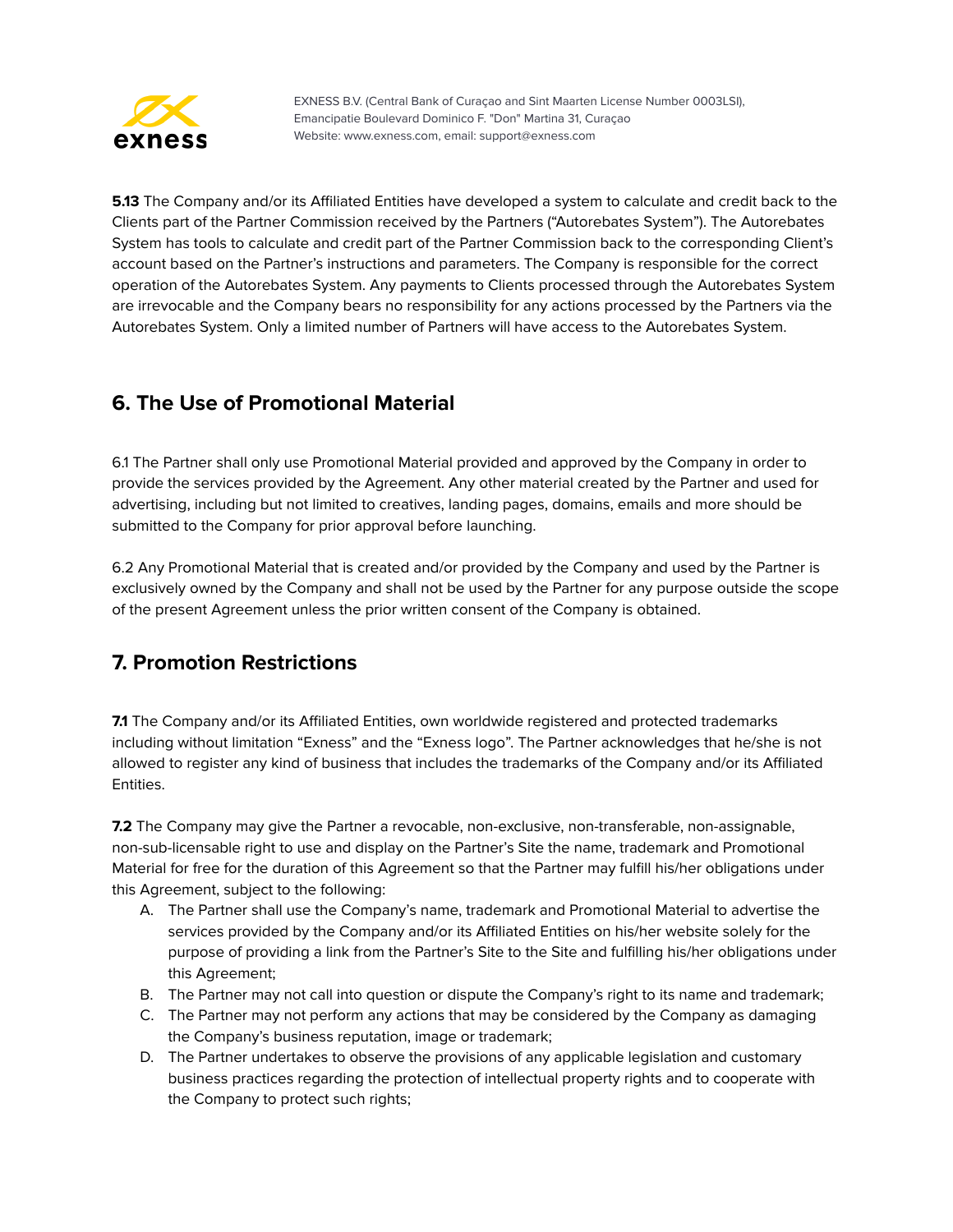

**5.13** The Company and/or its Affiliated Entities have developed a system to calculate and credit back to the Clients part of the Partner Commission received by the Partners ("Autorebates System"). The Autorebates System has tools to calculate and credit part of the Partner Commission back to the corresponding Client's account based on the Partner's instructions and parameters. The Company is responsible for the correct operation of the Autorebates System. Any payments to Clients processed through the Autorebates System are irrevocable and the Company bears no responsibility for any actions processed by the Partners via the Autorebates System. Only a limited number of Partners will have access to the Autorebates System.

# <span id="page-8-0"></span>**6. The Use of Promotional Material**

6.1 The Partner shall only use Promotional Material provided and approved by the Company in order to provide the services provided by the Agreement. Any other material created by the Partner and used for advertising, including but not limited to creatives, landing pages, domains, emails and more should be submitted to the Company for prior approval before launching.

6.2 Any Promotional Material that is created and/or provided by the Company and used by the Partner is exclusively owned by the Company and shall not be used by the Partner for any purpose outside the scope of the present Agreement unless the prior written consent of the Company is obtained.

# <span id="page-8-1"></span>**7. Promotion Restrictions**

**7.1** The Company and/or its Affiliated Entities, own worldwide registered and protected trademarks including without limitation "Exness" and the "Exness logo". The Partner acknowledges that he/she is not allowed to register any kind of business that includes the trademarks of the Company and/or its Affiliated Entities.

**7.2** The Company may give the Partner a revocable, non-exclusive, non-transferable, non-assignable, non-sub-licensable right to use and display on the Partner's Site the name, trademark and Promotional Material for free for the duration of this Agreement so that the Partner may fulfill his/her obligations under this Agreement, subject to the following:

- A. The Partner shall use the Company's name, trademark and Promotional Material to advertise the services provided by the Company and/or its Affiliated Entities on his/her website solely for the purpose of providing a link from the Partner's Site to the Site and fulfilling his/her obligations under this Agreement;
- B. The Partner may not call into question or dispute the Company's right to its name and trademark;
- C. The Partner may not perform any actions that may be considered by the Company as damaging the Company's business reputation, image or trademark;
- D. The Partner undertakes to observe the provisions of any applicable legislation and customary business practices regarding the protection of intellectual property rights and to cooperate with the Company to protect such rights;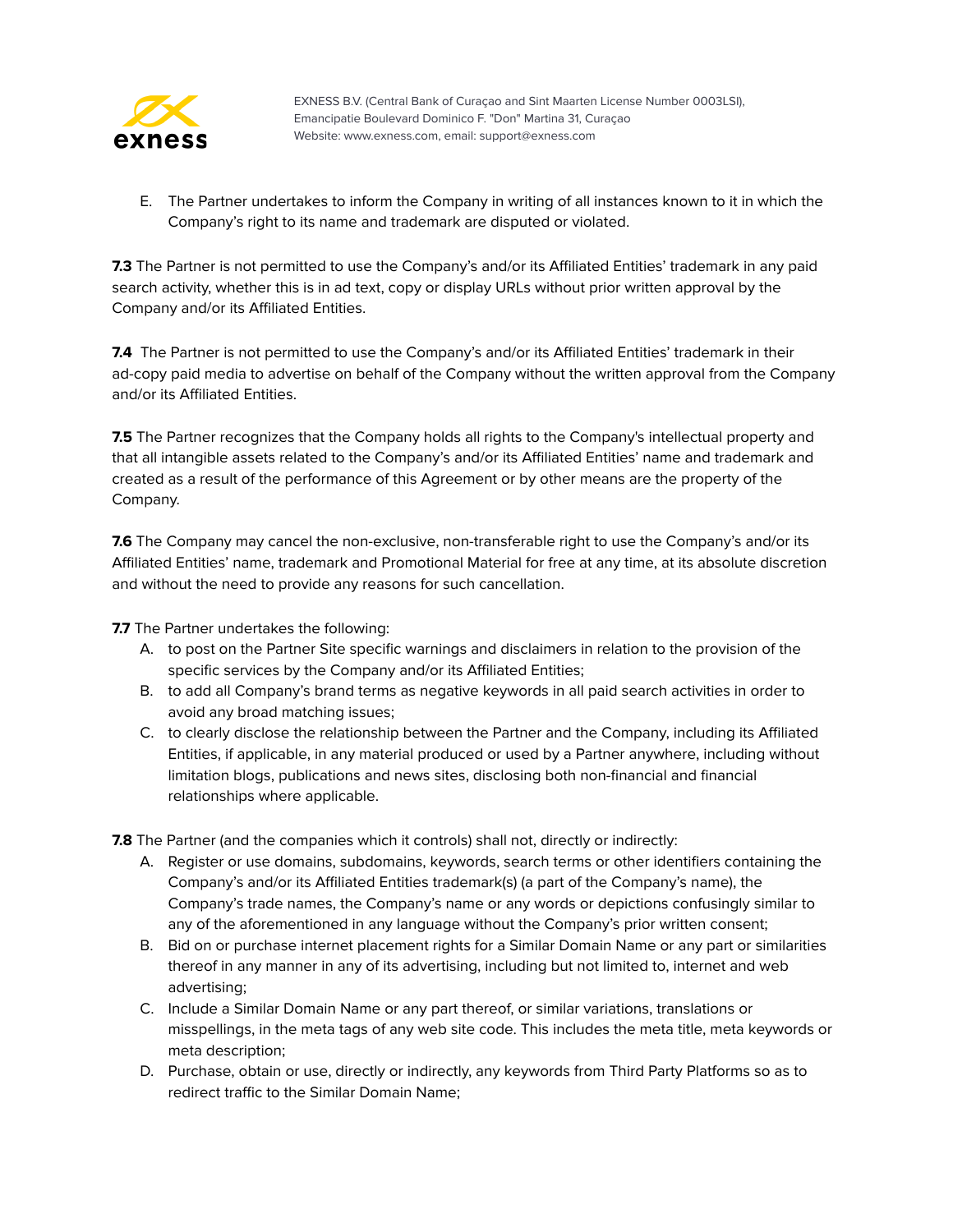

E. The Partner undertakes to inform the Company in writing of all instances known to it in which the Company's right to its name and trademark are disputed or violated.

**7.3** The Partner is not permitted to use the Company's and/or its Affiliated Entities' trademark in any paid search activity, whether this is in ad text, copy or display URLs without prior written approval by the Company and/or its Affiliated Entities.

7.4 The Partner is not permitted to use the Company's and/or its Affiliated Entities' trademark in their ad-copy paid media to advertise on behalf of the Company without the written approval from the Company and/or its Affiliated Entities.

**7.5** The Partner recognizes that the Company holds all rights to the Company's intellectual property and that all intangible assets related to the Company's and/or its Affiliated Entities' name and trademark and created as a result of the performance of this Agreement or by other means are the property of the Company.

**7.6** The Company may cancel the non-exclusive, non-transferable right to use the Company's and/or its Affiliated Entities' name, trademark and Promotional Material for free at any time, at its absolute discretion and without the need to provide any reasons for such cancellation.

**7.7** The Partner undertakes the following:

- A. to post on the Partner Site specific warnings and disclaimers in relation to the provision of the specific services by the Company and/or its Affiliated Entities;
- B. to add all Company's brand terms as negative keywords in all paid search activities in order to avoid any broad matching issues;
- C. to clearly disclose the relationship between the Partner and the Company, including its Affiliated Entities, if applicable, in any material produced or used by a Partner anywhere, including without limitation blogs, publications and news sites, disclosing both non-financial and financial relationships where applicable.

**7.8** The Partner (and the companies which it controls) shall not, directly or indirectly:

- A. Register or use domains, subdomains, keywords, search terms or other identifiers containing the Company's and/or its Affiliated Entities trademark(s) (a part of the Company's name), the Company's trade names, the Company's name or any words or depictions confusingly similar to any of the aforementioned in any language without the Company's prior written consent;
- B. Bid on or purchase internet placement rights for a Similar Domain Name or any part or similarities thereof in any manner in any of its advertising, including but not limited to, internet and web advertising;
- C. Include a Similar Domain Name or any part thereof, or similar variations, translations or misspellings, in the meta tags of any web site code. This includes the meta title, meta keywords or meta description;
- D. Purchase, obtain or use, directly or indirectly, any keywords from Third Party Platforms so as to redirect traffic to the Similar Domain Name;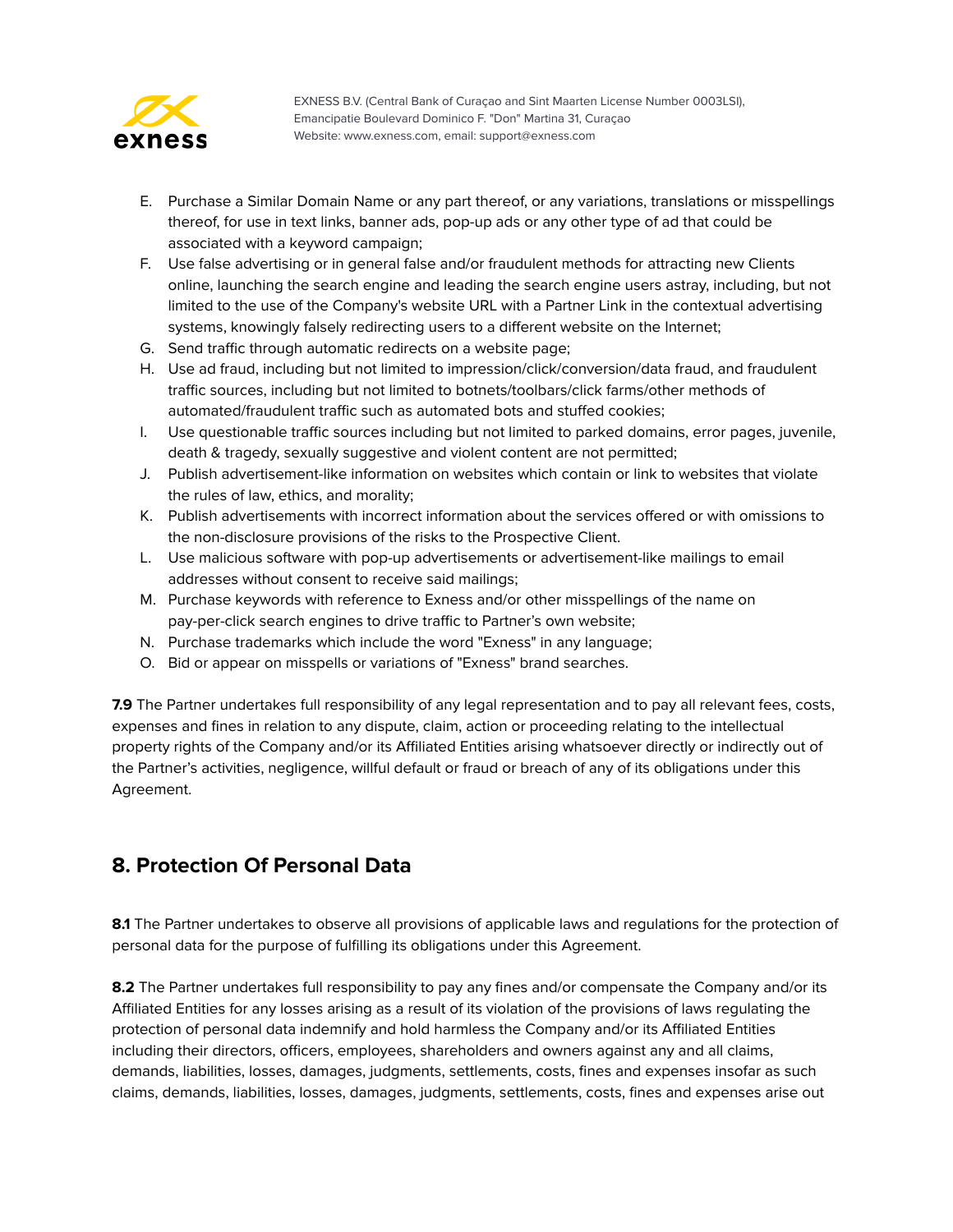

- E. Purchase a Similar Domain Name or any part thereof, or any variations, translations or misspellings thereof, for use in text links, banner ads, pop-up ads or any other type of ad that could be associated with a keyword campaign;
- F. Use false advertising or in general false and/or fraudulent methods for attracting new Clients online, launching the search engine and leading the search engine users astray, including, but not limited to the use of the Company's website URL with a Partner Link in the contextual advertising systems, knowingly falsely redirecting users to a different website on the Internet;
- G. Send traffic through automatic redirects on a website page;
- H. Use ad fraud, including but not limited to impression/click/conversion/data fraud, and fraudulent traffic sources, including but not limited to botnets/toolbars/click farms/other methods of automated/fraudulent traffic such as automated bots and stuffed cookies;
- I. Use questionable traffic sources including but not limited to parked domains, error pages, juvenile, death & tragedy, sexually suggestive and violent content are not permitted;
- J. Publish advertisement-like information on websites which contain or link to websites that violate the rules of law, ethics, and morality;
- K. Publish advertisements with incorrect information about the services offered or with omissions to the non-disclosure provisions of the risks to the Prospective Client.
- L. Use malicious software with pop-up advertisements or advertisement-like mailings to email addresses without consent to receive said mailings;
- M. Purchase keywords with reference to Exness and/or other misspellings of the name on pay-per-click search engines to drive traffic to Partner's own website;
- N. Purchase trademarks which include the word "Exness" in any language;
- O. Bid or appear on misspells or variations of "Exness" brand searches.

**7.9** The Partner undertakes full responsibility of any legal representation and to pay all relevant fees, costs, expenses and fines in relation to any dispute, claim, action or proceeding relating to the intellectual property rights of the Company and/or its Affiliated Entities arising whatsoever directly or indirectly out of the Partner's activities, negligence, willful default or fraud or breach of any of its obligations under this Agreement.

# <span id="page-10-0"></span>**8. Protection Of Personal Data**

**8.1** The Partner undertakes to observe all provisions of applicable laws and regulations for the protection of personal data for the purpose of fulfilling its obligations under this Agreement.

**8.2** The Partner undertakes full responsibility to pay any fines and/or compensate the Company and/or its Affiliated Entities for any losses arising as a result of its violation of the provisions of laws regulating the protection of personal data indemnify and hold harmless the Company and/or its Affiliated Entities including their directors, officers, employees, shareholders and owners against any and all claims, demands, liabilities, losses, damages, judgments, settlements, costs, fines and expenses insofar as such claims, demands, liabilities, losses, damages, judgments, settlements, costs, fines and expenses arise out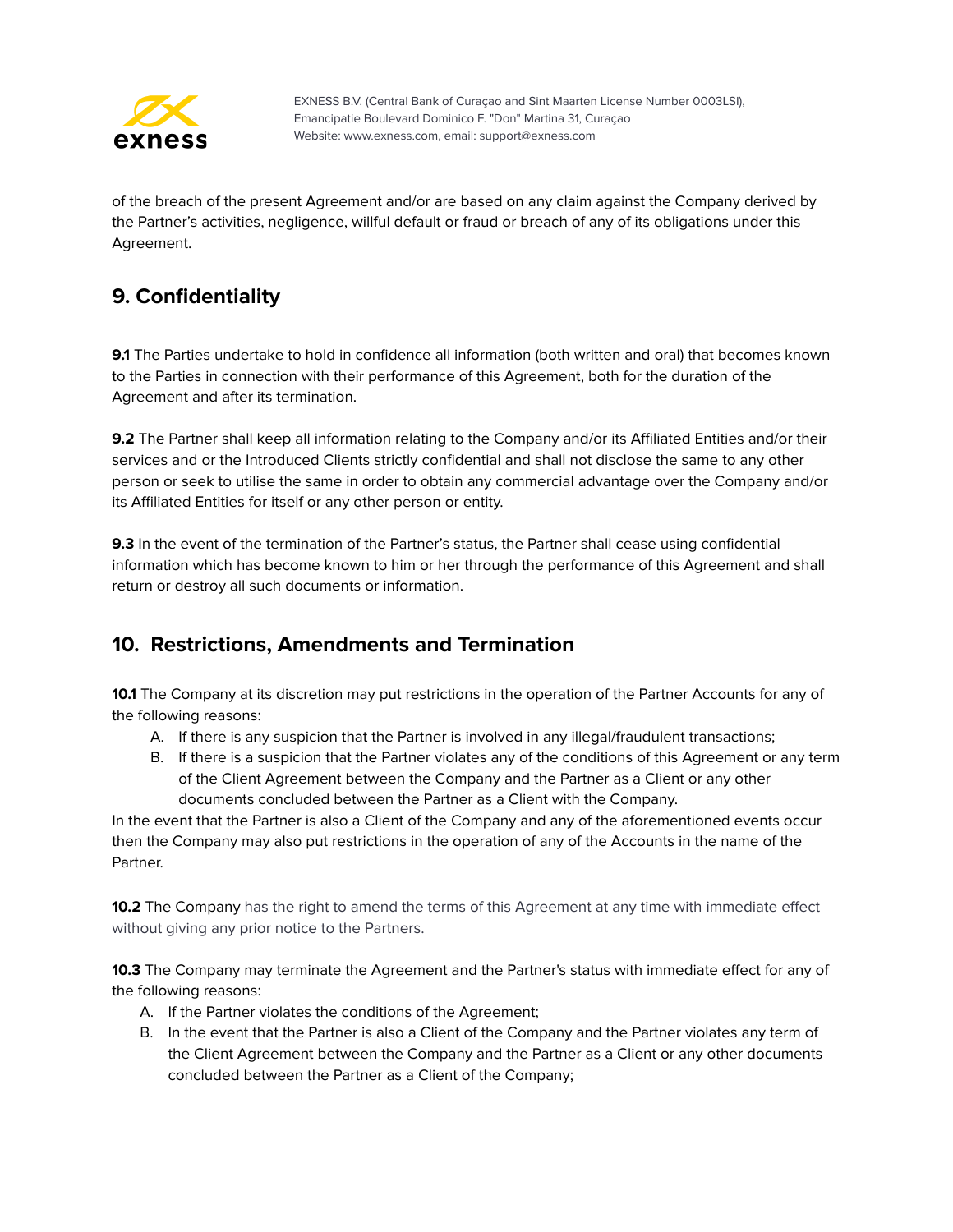

of the breach of the present Agreement and/or are based on any claim against the Company derived by the Partner's activities, negligence, willful default or fraud or breach of any of its obligations under this Agreement.

# <span id="page-11-0"></span>**9. Confidentiality**

**9.1** The Parties undertake to hold in confidence all information (both written and oral) that becomes known to the Parties in connection with their performance of this Agreement, both for the duration of the Agreement and after its termination.

**9.2** The Partner shall keep all information relating to the Company and/or its Affiliated Entities and/or their services and or the Introduced Clients strictly confidential and shall not disclose the same to any other person or seek to utilise the same in order to obtain any commercial advantage over the Company and/or its Affiliated Entities for itself or any other person or entity.

**9.3** In the event of the termination of the Partner's status, the Partner shall cease using confidential information which has become known to him or her through the performance of this Agreement and shall return or destroy all such documents or information.

# <span id="page-11-1"></span>**10. Restrictions, Amendments and Termination**

**10.1** The Company at its discretion may put restrictions in the operation of the Partner Accounts for any of the following reasons:

- A. If there is any suspicion that the Partner is involved in any illegal/fraudulent transactions;
- B. If there is a suspicion that the Partner violates any of the conditions of this Agreement or any term of the Client Agreement between the Company and the Partner as a Client or any other documents concluded between the Partner as a Client with the Company.

In the event that the Partner is also a Client of the Company and any of the aforementioned events occur then the Company may also put restrictions in the operation of any of the Accounts in the name of the Partner.

**10.2** The Company has the right to amend the terms of this Agreement at any time with immediate effect without giving any prior notice to the Partners.

**10.3** The Company may terminate the Agreement and the Partner's status with immediate effect for any of the following reasons:

- A. If the Partner violates the conditions of the Agreement;
- B. In the event that the Partner is also a Client of the Company and the Partner violates any term of the Client Agreement between the Company and the Partner as a Client or any other documents concluded between the Partner as a Client of the Company;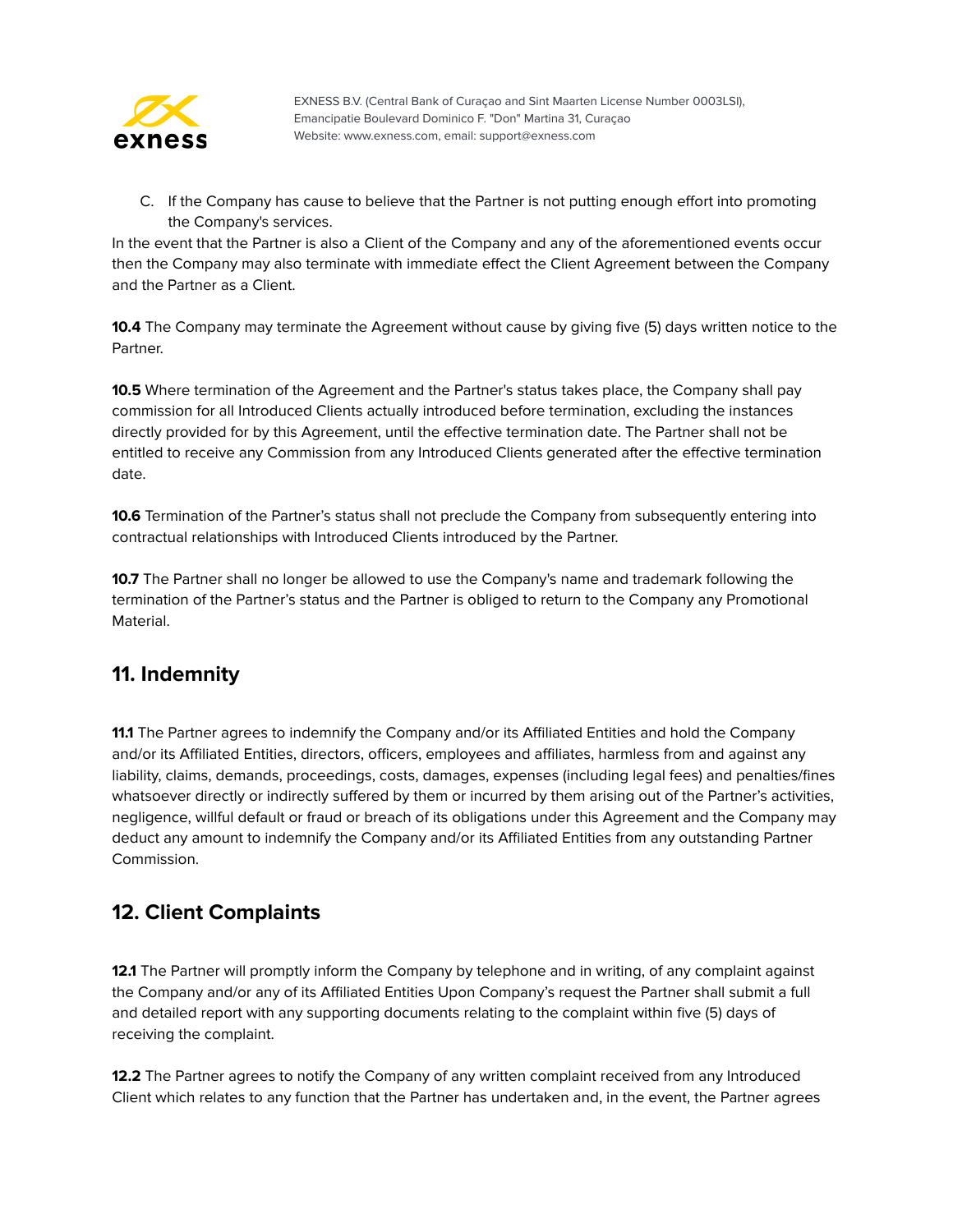

C. If the Company has cause to believe that the Partner is not putting enough effort into promoting the Company's services.

In the event that the Partner is also a Client of the Company and any of the aforementioned events occur then the Company may also terminate with immediate effect the Client Agreement between the Company and the Partner as a Client.

**10.4** The Company may terminate the Agreement without cause by giving five (5) days written notice to the Partner.

**10.5** Where termination of the Agreement and the Partner's status takes place, the Company shall pay commission for all Introduced Clients actually introduced before termination, excluding the instances directly provided for by this Agreement, until the effective termination date. The Partner shall not be entitled to receive any Commission from any Introduced Clients generated after the effective termination date.

**10.6** Termination of the Partner's status shall not preclude the Company from subsequently entering into contractual relationships with Introduced Clients introduced by the Partner.

**10.7** The Partner shall no longer be allowed to use the Company's name and trademark following the termination of the Partner's status and the Partner is obliged to return to the Company any Promotional Material.

# <span id="page-12-0"></span>**11. Indemnity**

**11.1** The Partner agrees to indemnify the Company and/or its Affiliated Entities and hold the Company and/or its Affiliated Entities, directors, officers, employees and affiliates, harmless from and against any liability, claims, demands, proceedings, costs, damages, expenses (including legal fees) and penalties/fines whatsoever directly or indirectly suffered by them or incurred by them arising out of the Partner's activities, negligence, willful default or fraud or breach of its obligations under this Agreement and the Company may deduct any amount to indemnify the Company and/or its Affiliated Entities from any outstanding Partner Commission.

# <span id="page-12-1"></span>**12. Client Complaints**

**12.1** The Partner will promptly inform the Company by telephone and in writing, of any complaint against the Company and/or any of its Affiliated Entities Upon Company's request the Partner shall submit a full and detailed report with any supporting documents relating to the complaint within five (5) days of receiving the complaint.

**12.2** The Partner agrees to notify the Company of any written complaint received from any Introduced Client which relates to any function that the Partner has undertaken and, in the event, the Partner agrees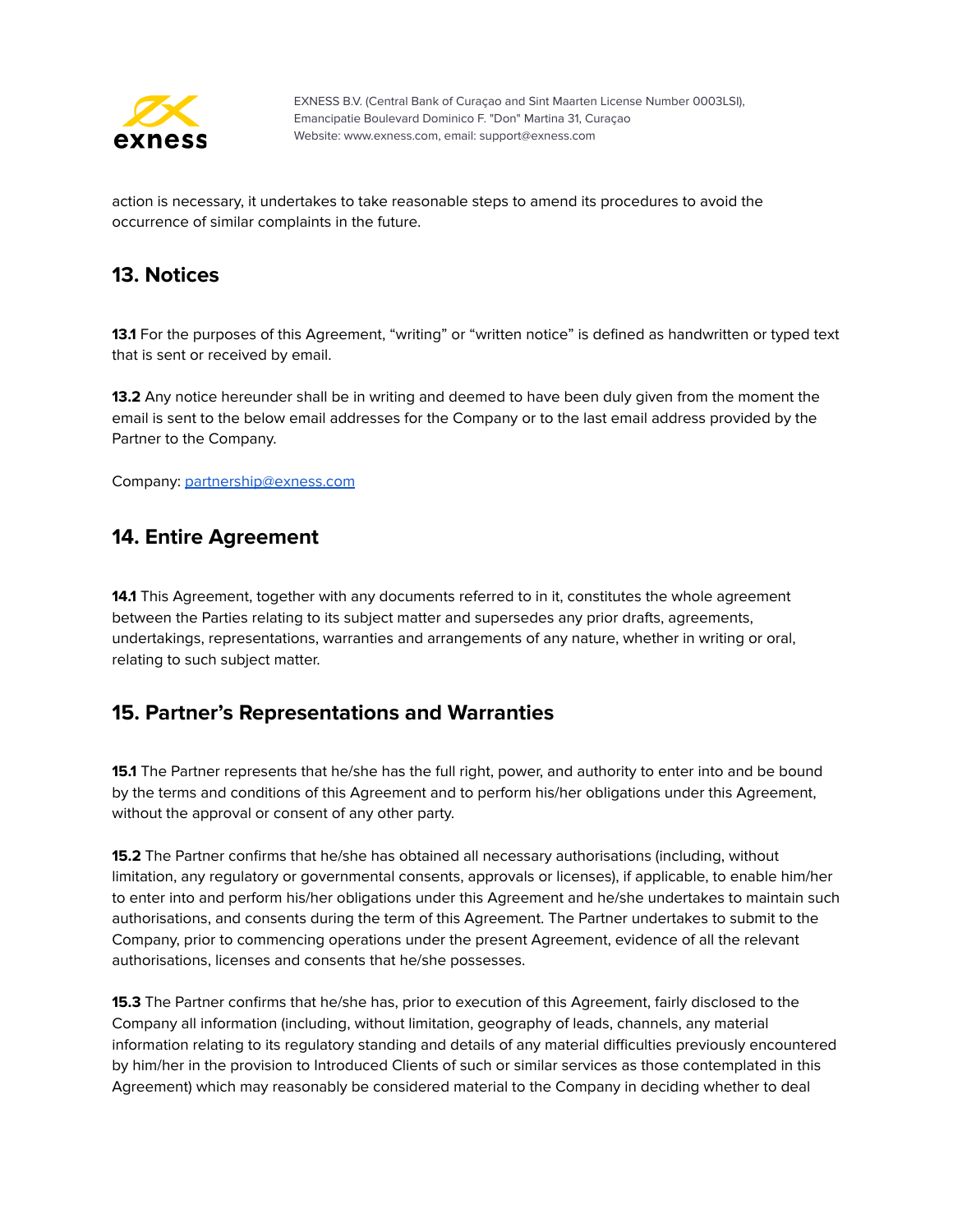

action is necessary, it undertakes to take reasonable steps to amend its procedures to avoid the occurrence of similar complaints in the future.

#### <span id="page-13-0"></span>**13. Notices**

**13.1** For the purposes of this Agreement, "writing" or "written notice" is defined as handwritten or typed text that is sent or received by email.

**13.2** Any notice hereunder shall be in writing and deemed to have been duly given from the moment the email is sent to the below email addresses for the Company or to the last email address provided by the Partner to the Company.

<span id="page-13-1"></span>Company: [partnership@exness.com](mailto:partnership@exness.com)

#### **14. Entire Agreement**

**14.1** This Agreement, together with any documents referred to in it, constitutes the whole agreement between the Parties relating to its subject matter and supersedes any prior drafts, agreements, undertakings, representations, warranties and arrangements of any nature, whether in writing or oral, relating to such subject matter.

# <span id="page-13-2"></span>**15. Partner's Representations and Warranties**

**15.1** The Partner represents that he/she has the full right, power, and authority to enter into and be bound by the terms and conditions of this Agreement and to perform his/her obligations under this Agreement, without the approval or consent of any other party.

**15.2** The Partner confirms that he/she has obtained all necessary authorisations (including, without limitation, any regulatory or governmental consents, approvals or licenses), if applicable, to enable him/her to enter into and perform his/her obligations under this Agreement and he/she undertakes to maintain such authorisations, and consents during the term of this Agreement. The Partner undertakes to submit to the Company, prior to commencing operations under the present Agreement, evidence of all the relevant authorisations, licenses and consents that he/she possesses.

**15.3** The Partner confirms that he/she has, prior to execution of this Agreement, fairly disclosed to the Company all information (including, without limitation, geography of leads, channels, any material information relating to its regulatory standing and details of any material difficulties previously encountered by him/her in the provision to Introduced Clients of such or similar services as those contemplated in this Agreement) which may reasonably be considered material to the Company in deciding whether to deal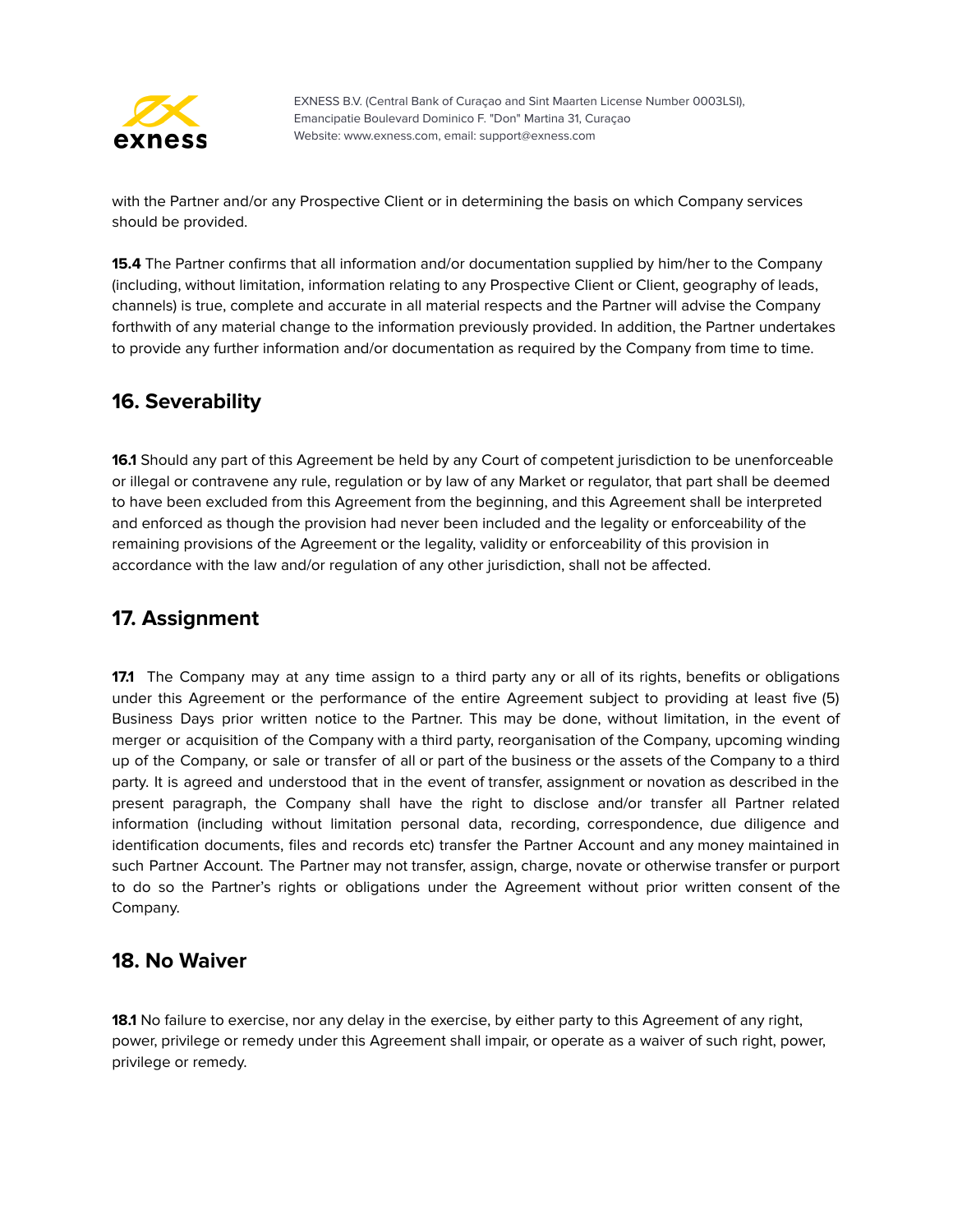

with the Partner and/or any Prospective Client or in determining the basis on which Company services should be provided.

**15.4** The Partner confirms that all information and/or documentation supplied by him/her to the Company (including, without limitation, information relating to any Prospective Client or Client, geography of leads, channels) is true, complete and accurate in all material respects and the Partner will advise the Company forthwith of any material change to the information previously provided. In addition, the Partner undertakes to provide any further information and/or documentation as required by the Company from time to time.

#### <span id="page-14-0"></span>**16. Severability**

**16.1** Should any part of this Agreement be held by any Court of competent jurisdiction to be unenforceable or illegal or contravene any rule, regulation or by law of any Market or regulator, that part shall be deemed to have been excluded from this Agreement from the beginning, and this Agreement shall be interpreted and enforced as though the provision had never been included and the legality or enforceability of the remaining provisions of the Agreement or the legality, validity or enforceability of this provision in accordance with the law and/or regulation of any other jurisdiction, shall not be affected.

# <span id="page-14-1"></span>**17. Assignment**

**17.1** The Company may at any time assign to a third party any or all of its rights, benefits or obligations under this Agreement or the performance of the entire Agreement subject to providing at least five (5) Business Days prior written notice to the Partner. This may be done, without limitation, in the event of merger or acquisition of the Company with a third party, reorganisation of the Company, upcoming winding up of the Company, or sale or transfer of all or part of the business or the assets of the Company to a third party. It is agreed and understood that in the event of transfer, assignment or novation as described in the present paragraph, the Company shall have the right to disclose and/or transfer all Partner related information (including without limitation personal data, recording, correspondence, due diligence and identification documents, files and records etc) transfer the Partner Account and any money maintained in such Partner Account. The Partner may not transfer, assign, charge, novate or otherwise transfer or purport to do so the Partner's rights or obligations under the Agreement without prior written consent of the Company.

#### <span id="page-14-2"></span>**18. No Waiver**

**18.1** No failure to exercise, nor any delay in the exercise, by either party to this Agreement of any right, power, privilege or remedy under this Agreement shall impair, or operate as a waiver of such right, power, privilege or remedy.